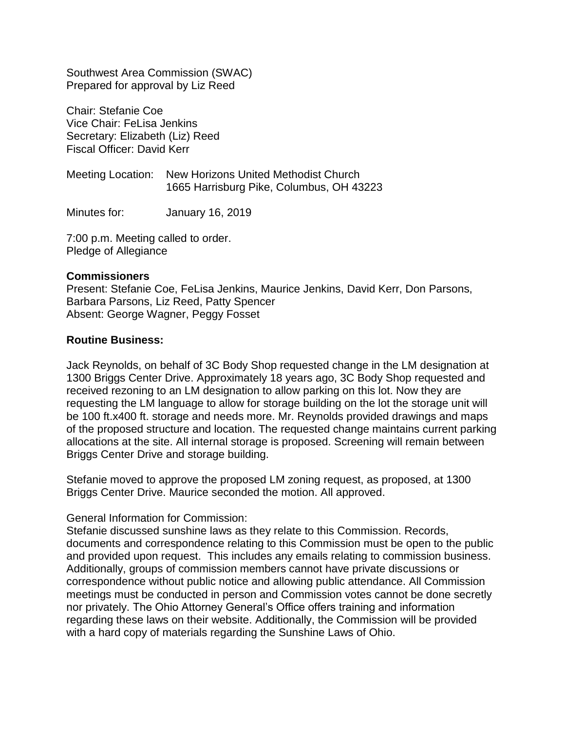Southwest Area Commission (SWAC) Prepared for approval by Liz Reed

Chair: Stefanie Coe Vice Chair: FeLisa Jenkins Secretary: Elizabeth (Liz) Reed Fiscal Officer: David Kerr

Meeting Location: New Horizons United Methodist Church 1665 Harrisburg Pike, Columbus, OH 43223

Minutes for: January 16, 2019

7:00 p.m. Meeting called to order. Pledge of Allegiance

#### **Commissioners**

Present: Stefanie Coe, FeLisa Jenkins, Maurice Jenkins, David Kerr, Don Parsons, Barbara Parsons, Liz Reed, Patty Spencer Absent: George Wagner, Peggy Fosset

### **Routine Business:**

Jack Reynolds, on behalf of 3C Body Shop requested change in the LM designation at 1300 Briggs Center Drive. Approximately 18 years ago, 3C Body Shop requested and received rezoning to an LM designation to allow parking on this lot. Now they are requesting the LM language to allow for storage building on the lot the storage unit will be 100 ft.x400 ft. storage and needs more. Mr. Reynolds provided drawings and maps of the proposed structure and location. The requested change maintains current parking allocations at the site. All internal storage is proposed. Screening will remain between Briggs Center Drive and storage building.

Stefanie moved to approve the proposed LM zoning request, as proposed, at 1300 Briggs Center Drive. Maurice seconded the motion. All approved.

#### General Information for Commission:

Stefanie discussed sunshine laws as they relate to this Commission. Records, documents and correspondence relating to this Commission must be open to the public and provided upon request. This includes any emails relating to commission business. Additionally, groups of commission members cannot have private discussions or correspondence without public notice and allowing public attendance. All Commission meetings must be conducted in person and Commission votes cannot be done secretly nor privately. The Ohio Attorney General's Office offers training and information regarding these laws on their website. Additionally, the Commission will be provided with a hard copy of materials regarding the Sunshine Laws of Ohio.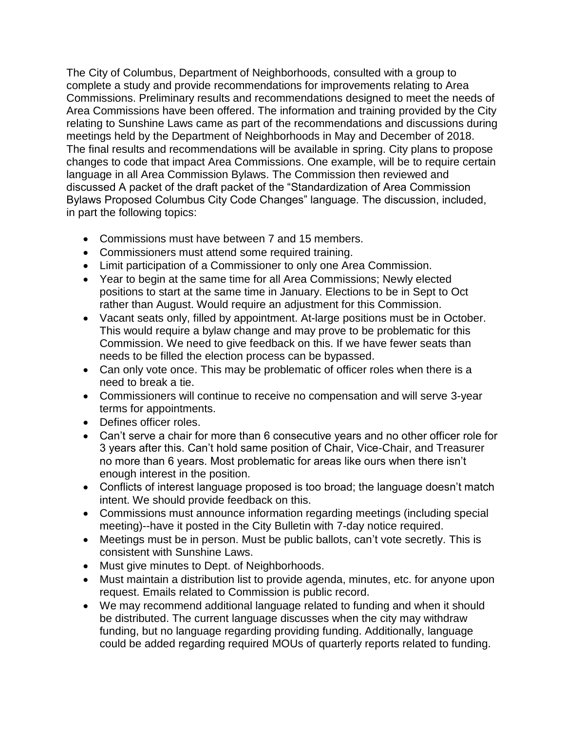The City of Columbus, Department of Neighborhoods, consulted with a group to complete a study and provide recommendations for improvements relating to Area Commissions. Preliminary results and recommendations designed to meet the needs of Area Commissions have been offered. The information and training provided by the City relating to Sunshine Laws came as part of the recommendations and discussions during meetings held by the Department of Neighborhoods in May and December of 2018. The final results and recommendations will be available in spring. City plans to propose changes to code that impact Area Commissions. One example, will be to require certain language in all Area Commission Bylaws. The Commission then reviewed and discussed A packet of the draft packet of the "Standardization of Area Commission Bylaws Proposed Columbus City Code Changes" language. The discussion, included, in part the following topics:

- Commissions must have between 7 and 15 members.
- Commissioners must attend some required training.
- Limit participation of a Commissioner to only one Area Commission.
- Year to begin at the same time for all Area Commissions; Newly elected positions to start at the same time in January. Elections to be in Sept to Oct rather than August. Would require an adjustment for this Commission.
- Vacant seats only, filled by appointment. At-large positions must be in October. This would require a bylaw change and may prove to be problematic for this Commission. We need to give feedback on this. If we have fewer seats than needs to be filled the election process can be bypassed.
- Can only vote once. This may be problematic of officer roles when there is a need to break a tie.
- Commissioners will continue to receive no compensation and will serve 3-year terms for appointments.
- Defines officer roles.
- Can't serve a chair for more than 6 consecutive years and no other officer role for 3 years after this. Can't hold same position of Chair, Vice-Chair, and Treasurer no more than 6 years. Most problematic for areas like ours when there isn't enough interest in the position.
- Conflicts of interest language proposed is too broad; the language doesn't match intent. We should provide feedback on this.
- Commissions must announce information regarding meetings (including special meeting)--have it posted in the City Bulletin with 7-day notice required.
- Meetings must be in person. Must be public ballots, can't vote secretly. This is consistent with Sunshine Laws.
- Must give minutes to Dept. of Neighborhoods.
- Must maintain a distribution list to provide agenda, minutes, etc. for anyone upon request. Emails related to Commission is public record.
- We may recommend additional language related to funding and when it should be distributed. The current language discusses when the city may withdraw funding, but no language regarding providing funding. Additionally, language could be added regarding required MOUs of quarterly reports related to funding.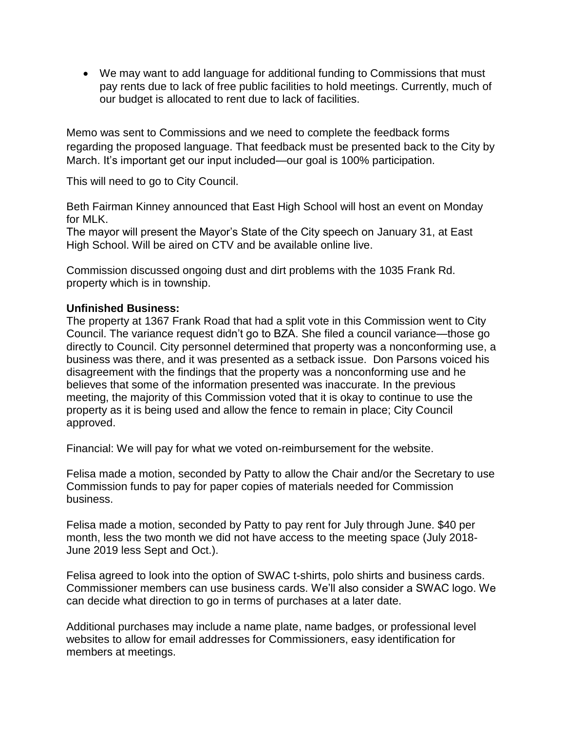We may want to add language for additional funding to Commissions that must pay rents due to lack of free public facilities to hold meetings. Currently, much of our budget is allocated to rent due to lack of facilities.

Memo was sent to Commissions and we need to complete the feedback forms regarding the proposed language. That feedback must be presented back to the City by March. It's important get our input included—our goal is 100% participation.

This will need to go to City Council.

Beth Fairman Kinney announced that East High School will host an event on Monday for MLK.

The mayor will present the Mayor's State of the City speech on January 31, at East High School. Will be aired on CTV and be available online live.

Commission discussed ongoing dust and dirt problems with the 1035 Frank Rd. property which is in township.

## **Unfinished Business:**

The property at 1367 Frank Road that had a split vote in this Commission went to City Council. The variance request didn't go to BZA. She filed a council variance—those go directly to Council. City personnel determined that property was a nonconforming use, a business was there, and it was presented as a setback issue. Don Parsons voiced his disagreement with the findings that the property was a nonconforming use and he believes that some of the information presented was inaccurate. In the previous meeting, the majority of this Commission voted that it is okay to continue to use the property as it is being used and allow the fence to remain in place; City Council approved.

Financial: We will pay for what we voted on-reimbursement for the website.

Felisa made a motion, seconded by Patty to allow the Chair and/or the Secretary to use Commission funds to pay for paper copies of materials needed for Commission business.

Felisa made a motion, seconded by Patty to pay rent for July through June. \$40 per month, less the two month we did not have access to the meeting space (July 2018- June 2019 less Sept and Oct.).

Felisa agreed to look into the option of SWAC t-shirts, polo shirts and business cards. Commissioner members can use business cards. We'll also consider a SWAC logo. We can decide what direction to go in terms of purchases at a later date.

Additional purchases may include a name plate, name badges, or professional level websites to allow for email addresses for Commissioners, easy identification for members at meetings.